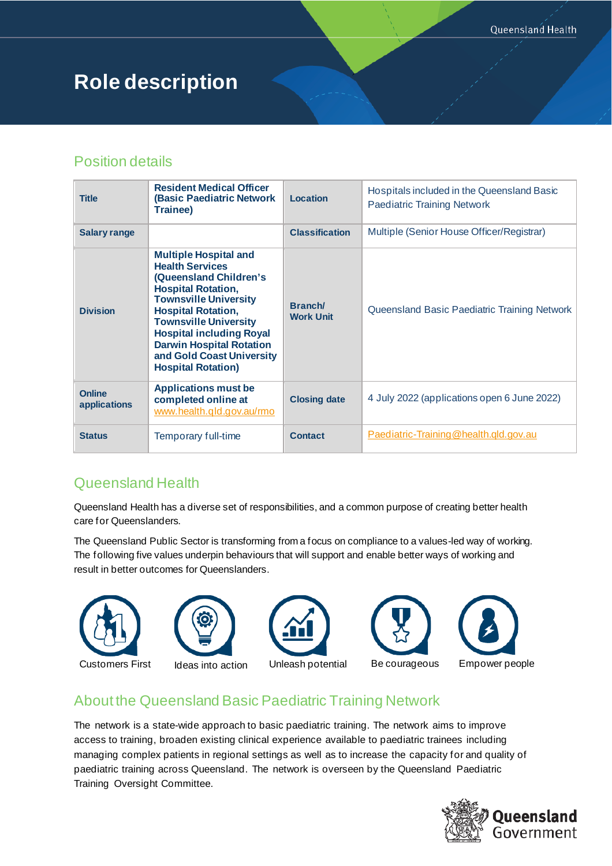# **Role description**

## Position details

| <b>Title</b>                  | <b>Resident Medical Officer</b><br><b>(Basic Paediatric Network</b><br>Trainee)                                                                                                                                                                                                                                                            | <b>Location</b>                   | Hospitals included in the Queensland Basic<br><b>Paediatric Training Network</b> |  |
|-------------------------------|--------------------------------------------------------------------------------------------------------------------------------------------------------------------------------------------------------------------------------------------------------------------------------------------------------------------------------------------|-----------------------------------|----------------------------------------------------------------------------------|--|
| <b>Salary range</b>           |                                                                                                                                                                                                                                                                                                                                            | <b>Classification</b>             | Multiple (Senior House Officer/Registrar)                                        |  |
| <b>Division</b>               | <b>Multiple Hospital and</b><br><b>Health Services</b><br>(Queensland Children's<br><b>Hospital Rotation,</b><br><b>Townsville University</b><br><b>Hospital Rotation,</b><br><b>Townsville University</b><br><b>Hospital including Royal</b><br><b>Darwin Hospital Rotation</b><br>and Gold Coast University<br><b>Hospital Rotation)</b> | <b>Branch</b><br><b>Work Unit</b> | Queensland Basic Paediatric Training Network                                     |  |
| <b>Online</b><br>applications | <b>Applications must be</b><br>completed online at<br>www.health.gld.gov.au/rmo                                                                                                                                                                                                                                                            | <b>Closing date</b>               | 4 July 2022 (applications open 6 June 2022)                                      |  |
| <b>Status</b>                 | Temporary full-time                                                                                                                                                                                                                                                                                                                        | <b>Contact</b>                    | Paediatric-Training@health.gld.gov.au                                            |  |

# Queensland Health

Queensland Health has a diverse set of responsibilities, and a common purpose of creating better health care for Queenslanders.

The Queensland Public Sector is transforming from a focus on compliance to a values-led way of working. The following five values underpin behaviours that will support and enable better ways of working and result in better outcomes for Queenslanders.



### About the Queensland Basic Paediatric Training Network

The network is a state-wide approach to basic paediatric training. The network aims to improve access to training, broaden existing clinical experience available to paediatric trainees including managing complex patients in regional settings as well as to increase the capacity for and quality of paediatric training across Queensland. The network is overseen by the Queensland Paediatric Training Oversight Committee.

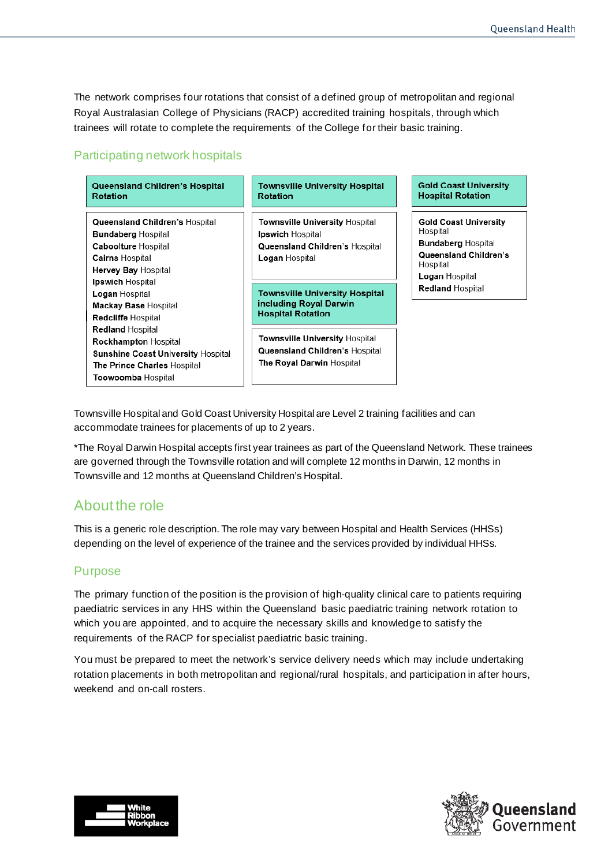The network comprises four rotations that consist of a defined group of metropolitan and regional Royal Australasian College of Physicians (RACP) accredited training hospitals, through which trainees will rotate to complete the requirements of the College for their basic training.

#### Participating network hospitals

| <b>Queensland Children's Hospital</b><br>Rotation                                                                                                                                                                                                                                               | <b>Townsville University Hospital</b><br>Rotation                                                                                                                                                                                                                   | <b>Gold Coast University</b><br><b>Hospital Rotation</b>                                                                                                |
|-------------------------------------------------------------------------------------------------------------------------------------------------------------------------------------------------------------------------------------------------------------------------------------------------|---------------------------------------------------------------------------------------------------------------------------------------------------------------------------------------------------------------------------------------------------------------------|---------------------------------------------------------------------------------------------------------------------------------------------------------|
| Queensland Children's Hospital<br><b>Bundaberg Hospital</b><br><b>Caboolture Hospital</b><br><b>Cairns Hospital</b><br><b>Hervey Bay Hospital</b><br><b>Ipswich Hospital</b><br>Logan Hospital<br><b>Mackay Base Hospital</b><br>Redcliffe Hospital<br>Redland Hospital<br>Rockhampton Hospital | <b>Townsville University Hospital</b><br><b>Ipswich</b> Hospital<br>Queensland Children's Hospital<br><b>Logan Hospital</b><br><b>Townsville University Hospital</b><br>including Royal Darwin<br><b>Hospital Rotation</b><br><b>Townsville University Hospital</b> | <b>Gold Coast University</b><br>Hospital<br><b>Bundaberg Hospital</b><br>Queensland Children's<br>Hospital<br>Logan Hospital<br><b>Redland Hospital</b> |
| <b>Sunshine Coast University Hospital</b><br>The Prince Charles Hospital<br>Toowoomba Hospital                                                                                                                                                                                                  | Queensland Children's Hospital<br><b>The Royal Darwin Hospital</b>                                                                                                                                                                                                  |                                                                                                                                                         |

Townsville Hospital and Gold Coast University Hospital are Level 2 training facilities and can accommodate trainees for placements of up to 2 years.

\*The Royal Darwin Hospital accepts first year trainees as part of the Queensland Network. These trainees are governed through the Townsville rotation and will complete 12 months in Darwin, 12 months in Townsville and 12 months at Queensland Children's Hospital.

### About the role

This is a generic role description. The role may vary between Hospital and Health Services (HHSs) depending on the level of experience of the trainee and the services provided by individual HHSs.

#### Purpose

The primary function of the position is the provision of high-quality clinical care to patients requiring paediatric services in any HHS within the Queensland basic paediatric training network rotation to which you are appointed, and to acquire the necessary skills and knowledge to satisfy the requirements of the RACP for specialist paediatric basic training.

You must be prepared to meet the network's service delivery needs which may include undertaking rotation placements in both metropolitan and regional/rural hospitals, and participation in after hours, weekend and on-call rosters.



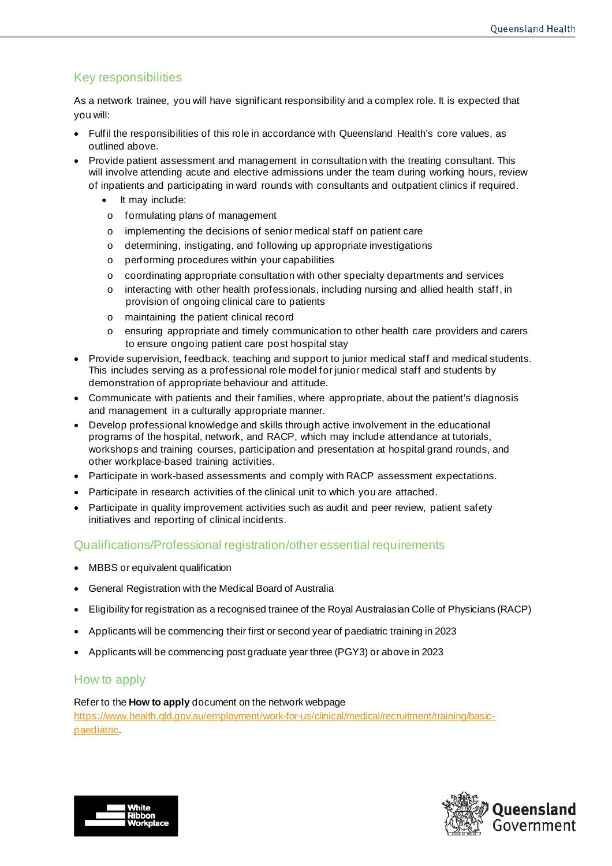#### Key responsibilities

As a network trainee, you will have significant responsibility and a complex role. It is expected that you will:

- Fulfil the responsibilities of this role in accordance with Queensland Health's core values, as outlined above.
- Provide patient assessment and management in consultation with the treating consultant. This will involve attending acute and elective admissions under the team during working hours, review of inpatients and participating in ward rounds with consultants and outpatient clinics if required.
	- It may include:
	- o formulating plans of management
	- o implementing the decisions of senior medical staff on patient care
	- o determining, instigating, and following up appropriate investigations
	- o performing procedures within your capabilities
	- o coordinating appropriate consultation with other specialty departments and services
	- $\circ$  interacting with other health professionals, including nursing and allied health staff, in provision of ongoing clinical care to patients
	- o maintaining the patient clinical record
	- o ensuring appropriate and timely communication to other health care providers and carers to ensure ongoing patient care post hospital stay
- Provide supervision, feedback, teaching and support to junior medical staff and medical students. This includes serving as a professional role model for junior medical staff and students by demonstration of appropriate behaviour and attitude.
- Communicate with patients and their families, where appropriate, about the patient's diagnosis and management in a culturally appropriate manner.
- Develop professional knowledge and skills through active involvement in the educational programs of the hospital, network, and RACP, which may include attendance at tutorials, workshops and training courses, participation and presentation at hospital grand rounds, and other workplace-based training activities.
- Participate in work-based assessments and comply with RACP assessment expectations.
- Participate in research activities of the clinical unit to which you are attached.
- Participate in quality improvement activities such as audit and peer review, patient safety initiatives and reporting of clinical incidents.

#### Qualifications/Professional registration/other essential requirements

- MBBS or equivalent qualification
- General Registration with the Medical Board of Australia
- Eligibility for registration as a recognised trainee of the Royal Australasian Colle of Physicians (RACP)
- Applicants will be commencing their first or second year of paediatric training in 2023
- Applicants will be commencing post graduate year three (PGY3) or above in 2023

#### How to apply

#### Refer to the **How to apply** document on the network webpage

[https://www.health.qld.gov.au/employment/work-for-us/clinical/medical/recruitment/training/basic](https://www.health.qld.gov.au/employment/work-for-us/clinical/medical/recruitment/training/basic-paediatric)[paediatric](https://www.health.qld.gov.au/employment/work-for-us/clinical/medical/recruitment/training/basic-paediatric).